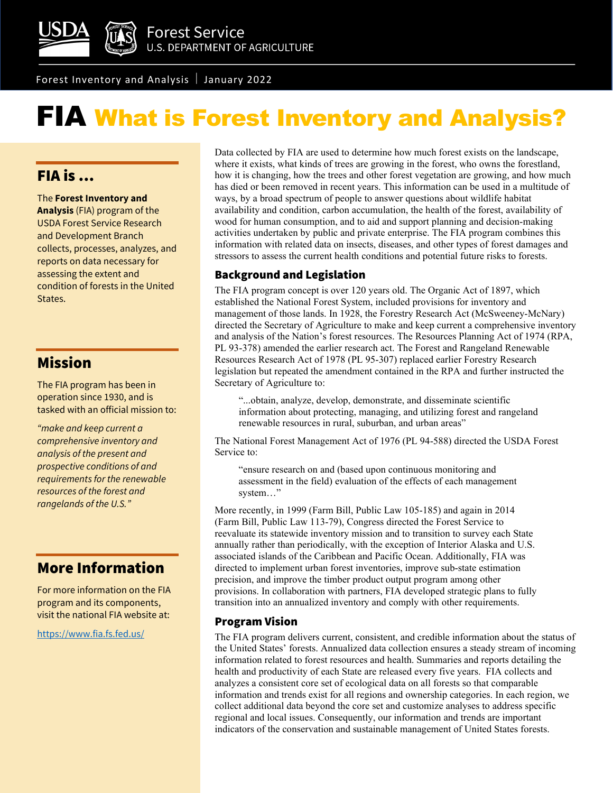

Forest Inventory and Analysis January 2022

# FIA What is Forest Inventory and Analysis?

## FIA is …

The **Forest Inventory and Analysis** (FIA) program of the USDA Forest Service Research and Development Branch collects, processes, analyzes, and reports on data necessary for assessing the extent and condition of forests in the United States.

## Mission

The FIA program has been in operation since 1930, and is tasked with an official mission to:

*"make and keep current a comprehensive inventory and analysis of the present and prospective conditions of and requirements for the renewable resources of the forest and rangelands of the U.S."*

## More Information

For more information on the FIA program and its components, visit the national FIA website at:

<https://www.fia.fs.fed.us/>

Data collected by FIA are used to determine how much forest exists on the landscape, where it exists, what kinds of trees are growing in the forest, who owns the forestland, how it is changing, how the trees and other forest vegetation are growing, and how much has died or been removed in recent years. This information can be used in a multitude of ways, by a broad spectrum of people to answer questions about wildlife habitat availability and condition, carbon accumulation, the health of the forest, availability of wood for human consumption, and to aid and support planning and decision-making activities undertaken by public and private enterprise. The FIA program combines this information with related data on insects, diseases, and other types of forest damages and stressors to assess the current health conditions and potential future risks to forests.

### Background and Legislation

The FIA program concept is over 120 years old. The Organic Act of 1897, which established the National Forest System, included provisions for inventory and management of those lands. In 1928, the Forestry Research Act (McSweeney-McNary) directed the Secretary of Agriculture to make and keep current a comprehensive inventory and analysis of the Nation's forest resources. The Resources Planning Act of 1974 (RPA, PL 93-378) amended the earlier research act. The Forest and Rangeland Renewable Resources Research Act of 1978 (PL 95-307) replaced earlier Forestry Research legislation but repeated the amendment contained in the RPA and further instructed the Secretary of Agriculture to:

"...obtain, analyze, develop, demonstrate, and disseminate scientific information about protecting, managing, and utilizing forest and rangeland renewable resources in rural, suburban, and urban areas"

The National Forest Management Act of 1976 (PL 94-588) directed the USDA Forest Service to:

"ensure research on and (based upon continuous monitoring and assessment in the field) evaluation of the effects of each management system…"

More recently, in 1999 (Farm Bill, Public Law 105-185) and again in 2014 (Farm Bill, Public Law 113-79), Congress directed the Forest Service to reevaluate its statewide inventory mission and to transition to survey each State annually rather than periodically, with the exception of Interior Alaska and U.S. associated islands of the Caribbean and Pacific Ocean. Additionally, FIA was directed to implement urban forest inventories, improve sub-state estimation precision, and improve the timber product output program among other provisions. In collaboration with partners, FIA developed strategic plans to fully transition into an annualized inventory and comply with other requirements.

### Program Vision

The FIA program delivers current, consistent, and credible information about the status of the United States' forests. Annualized data collection ensures a steady stream of incoming information related to forest resources and health. Summaries and reports detailing the health and productivity of each State are released every five years. FIA collects and analyzes a consistent core set of ecological data on all forests so that comparable information and trends exist for all regions and ownership categories. In each region, we collect additional data beyond the core set and customize analyses to address specific regional and local issues. Consequently, our information and trends are important indicators of the conservation and sustainable management of United States forests.